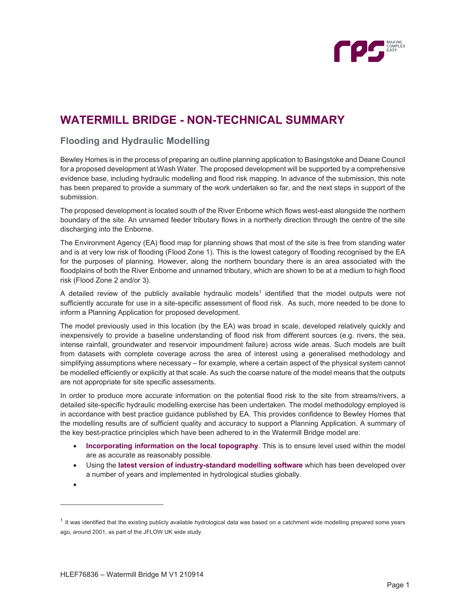

## **WATERMILL BRIDGE - NON-TECHNICAL SUMMARY**

## **Flooding and Hydraulic Modelling**

Bewley Homes is in the process of preparing an outline planning application to Basingstoke and Deane Council for a proposed development at Wash Water. The proposed development will be supported by a comprehensive evidence base, including hydraulic modelling and flood risk mapping. In advance of the submission, this note has been prepared to provide a summary of the work undertaken so far, and the next steps in support of the submission.

The proposed development is located south of the River Enborne which flows west-east alongside the northern boundary of the site. An unnamed feeder tributary flows in a northerly direction through the centre of the site discharging into the Enborne.

The Environment Agency (EA) flood map for planning shows that most of the site is free from standing water and is at very low risk of flooding (Flood Zone 1). This is the lowest category of flooding recognised by the EA for the purposes of planning. However, along the northern boundary there is an area associated with the floodplains of both the River Enborne and unnamed tributary, which are shown to be at a medium to high flood risk (Flood Zone 2 and/or 3).

A detailed review of the publicly available hydraulic models<sup>1</sup> identified that the model outputs were not sufficiently accurate for use in a site-specific assessment of flood risk. As such, more needed to be done to inform a Planning Application for proposed development.

The model previously used in this location (by the EA) was broad in scale, developed relatively quickly and inexpensively to provide a baseline understanding of flood risk from different sources (e.g. rivers, the sea, intense rainfall, groundwater and reservoir impoundment failure) across wide areas. Such models are built from datasets with complete coverage across the area of interest using a generalised methodology and simplifying assumptions where necessary – for example, where a certain aspect of the physical system cannot be modelled efficiently or explicitly at that scale. As such the coarse nature of the model means that the outputs are not appropriate for site specific assessments.

In order to produce more accurate information on the potential flood risk to the site from streams/rivers, a detailed site-specific hydraulic modelling exercise has been undertaken. The model methodology employed is in accordance with best practice guidance published by EA. This provides confidence to Bewley Homes that the modelling results are of sufficient quality and accuracy to support a Planning Application. A summary of the key best-practice principles which have been adhered to in the Watermill Bridge model are:

- **Incorporating information on the local topography**. This is to ensure level used within the model are as accurate as reasonably possible.
- Using the **latest version of industry-standard modelling software** which has been developed over a number of years and implemented in hydrological studies globally.

 $\bullet$ 

 $1$  It was identified that the existing publicly available hydrological data was based on a catchment wide modelling prepared some years ago, around 2001, as part of the JFLOW UK wide study.